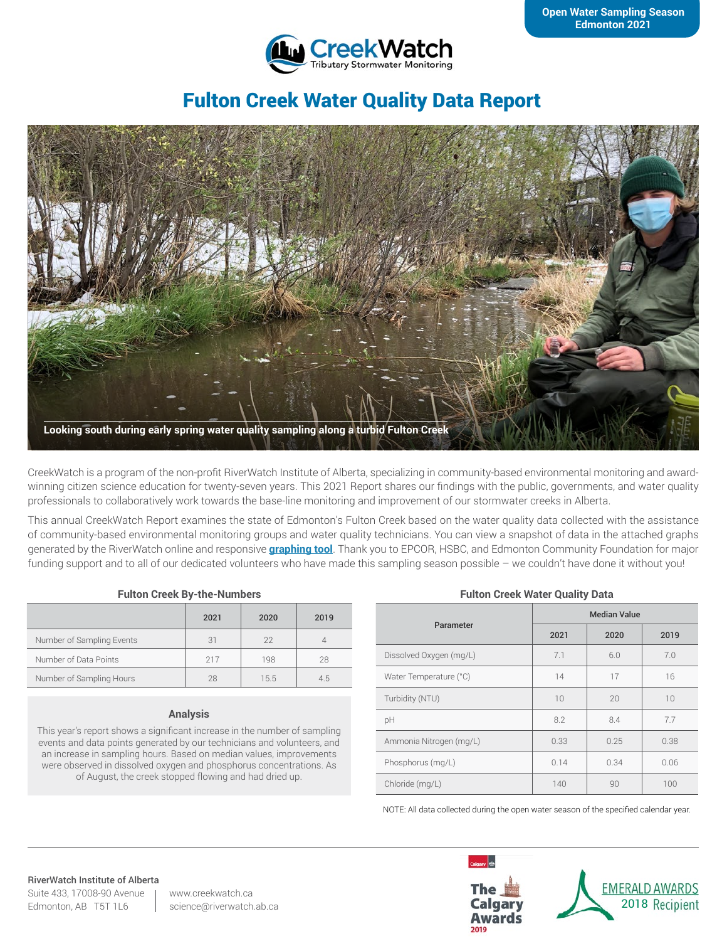

# Fulton Creek Water Quality Data Report



CreekWatch is a program of the non-profit RiverWatch Institute of Alberta, specializing in community-based environmental monitoring and awardwinning citizen science education for twenty-seven years. This 2021 Report shares our findings with the public, governments, and water quality professionals to collaboratively work towards the base-line monitoring and improvement of our stormwater creeks in Alberta.

This annual CreekWatch Report examines the state of Edmonton's Fulton Creek based on the water quality data collected with the assistance of community-based environmental monitoring groups and water quality technicians. You can view a snapshot of data in the attached graphs generated by the RiverWatch online and responsive **[graphing tool](http://www.riverwatch.ab.ca/index.php/science/data)**. Thank you to EPCOR, HSBC, and Edmonton Community Foundation for major funding support and to all of our dedicated volunteers who have made this sampling season possible – we couldn't have done it without you!

#### **Fulton Creek By-the-Numbers**

|                           | 2021 | 2020 | 2019 |
|---------------------------|------|------|------|
| Number of Sampling Events | 31   | 22   |      |
| Number of Data Points     | 217  | 198  | 28   |
| Number of Sampling Hours  | 28   | 15.5 | 4.5  |

#### **Analysis**

This year's report shows a significant increase in the number of sampling events and data points generated by our technicians and volunteers, and an increase in sampling hours. Based on median values, improvements were observed in dissolved oxygen and phosphorus concentrations. As of August, the creek stopped flowing and had dried up.

#### **Fulton Creek Water Quality Data**

| Parameter               | <b>Median Value</b> |      |      |
|-------------------------|---------------------|------|------|
|                         | 2021                | 2020 | 2019 |
| Dissolved Oxygen (mg/L) | 7.1                 | 6.0  | 7.0  |
| Water Temperature (°C)  | 14                  | 17   | 16   |
| Turbidity (NTU)         | 10                  | 20   | 10   |
| pH                      | 8.2                 | 8.4  | 7.7  |
| Ammonia Nitrogen (mg/L) | 0.33                | 0.25 | 0.38 |
| Phosphorus (mg/L)       | 0.14                | 0.34 | 0.06 |
| Chloride (mg/L)         | 140                 | 90   | 100  |

NOTE: All data collected during the open water season of the specified calendar year.

#### RiverWatch Institute of Alberta

Suite 433, 17008-90 Avenue Edmonton, AB T5T 1L6

www.creekwatch.ca science@riverwatch.ab.ca